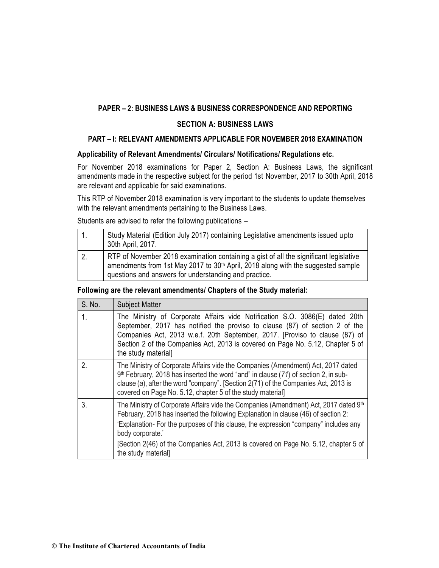# **PAPER – 2: BUSINESS LAWS & BUSINESS CORRESPONDENCE AND REPORTING**

# **SECTION A: BUSINESS LAWS**

# **PART – I: RELEVANT AMENDMENTS APPLICABLE FOR NOVEMBER 2018 EXAMINATION**

# **Applicability of Relevant Amendments/ Circulars/ Notifications/ Regulations etc.**

For November 2018 examinations for Paper 2, Section A: Business Laws, the significant amendments made in the respective subject for the period 1st November, 2017 to 30th April, 2018 are relevant and applicable for said examinations.

This RTP of November 2018 examination is very important to the students to update themselves with the relevant amendments pertaining to the Business Laws.

Students are advised to refer the following publications –

|    | Study Material (Edition July 2017) containing Legislative amendments issued upto<br>30th April, 2017.                                                                                                                                          |
|----|------------------------------------------------------------------------------------------------------------------------------------------------------------------------------------------------------------------------------------------------|
| 2. | RTP of November 2018 examination containing a gist of all the significant legislative<br>amendments from 1st May 2017 to 30 <sup>th</sup> April, 2018 along with the suggested sample<br>questions and answers for understanding and practice. |

## **Following are the relevant amendments/ Chapters of the Study material:**

| S. No. | <b>Subject Matter</b>                                                                                                                                                                                                                                                                                                                                                                                            |
|--------|------------------------------------------------------------------------------------------------------------------------------------------------------------------------------------------------------------------------------------------------------------------------------------------------------------------------------------------------------------------------------------------------------------------|
| 1.     | The Ministry of Corporate Affairs vide Notification S.O. 3086(E) dated 20th<br>September, 2017 has notified the proviso to clause (87) of section 2 of the<br>Companies Act, 2013 w.e.f. 20th September, 2017. [Proviso to clause (87) of<br>Section 2 of the Companies Act, 2013 is covered on Page No. 5.12, Chapter 5 of<br>the study material]                                                               |
| 2.     | The Ministry of Corporate Affairs vide the Companies (Amendment) Act, 2017 dated<br>9 <sup>th</sup> February, 2018 has inserted the word "and" in clause (71) of section 2, in sub-<br>clause (a), after the word "company". [Section 2(71) of the Companies Act, 2013 is<br>covered on Page No. 5.12, chapter 5 of the study material]                                                                          |
| 3.     | The Ministry of Corporate Affairs vide the Companies (Amendment) Act, 2017 dated 9 <sup>th</sup><br>February, 2018 has inserted the following Explanation in clause (46) of section 2:<br>'Explanation- For the purposes of this clause, the expression "company" includes any<br>body corporate.'<br>[Section 2(46) of the Companies Act, 2013 is covered on Page No. 5.12, chapter 5 of<br>the study material] |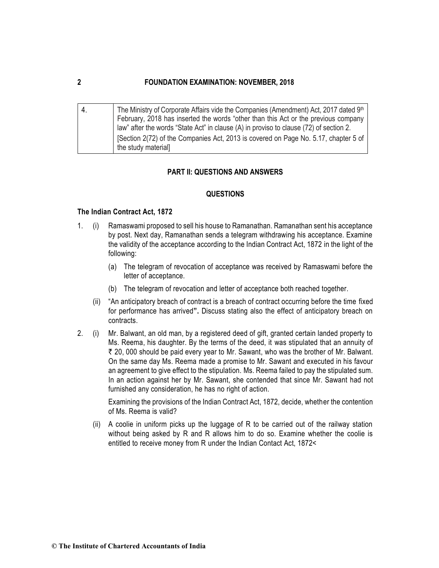| Ι4. | The Ministry of Corporate Affairs vide the Companies (Amendment) Act, 2017 dated 9 <sup>th</sup> |
|-----|--------------------------------------------------------------------------------------------------|
|     | February, 2018 has inserted the words "other than this Act or the previous company               |
|     | law" after the words "State Act" in clause (A) in proviso to clause (72) of section 2.           |
|     | [Section 2(72) of the Companies Act, 2013 is covered on Page No. 5.17, chapter 5 of              |
|     | the study material]                                                                              |

# **PART II: QUESTIONS AND ANSWERS**

#### **QUESTIONS**

#### **The Indian Contract Act, 1872**

- 1. (i) Ramaswami proposed to sell his house to Ramanathan. Ramanathan sent his acceptance by post. Next day, Ramanathan sends a telegram withdrawing his acceptance. Examine the validity of the acceptance according to the Indian Contract Act, 1872 in the light of the following:
	- (a) The telegram of revocation of acceptance was received by Ramaswami before the letter of acceptance.
	- (b) The telegram of revocation and letter of acceptance both reached together.
	- (ii) "An anticipatory breach of contract is a breach of contract occurring before the time fixed for performance has arrived**".** Discuss stating also the effect of anticipatory breach on contracts.
- 2. (i) Mr. Balwant, an old man, by a registered deed of gift, granted certain landed property to Ms. Reema, his daughter. By the terms of the deed, it was stipulated that an annuity of ₹ 20, 000 should be paid every year to Mr. Sawant, who was the brother of Mr. Balwant. On the same day Ms. Reema made a promise to Mr. Sawant and executed in his favour an agreement to give effect to the stipulation. Ms. Reema failed to pay the stipulated sum. In an action against her by Mr. Sawant, she contended that since Mr. Sawant had not furnished any consideration, he has no right of action.

Examining the provisions of the Indian Contract Act, 1872, decide, whether the contention of Ms. Reema is valid?

(ii) A coolie in uniform picks up the luggage of R to be carried out of the railway station without being asked by R and R allows him to do so. Examine whether the coolie is entitled to receive money from R under the Indian Contact Act, 1872<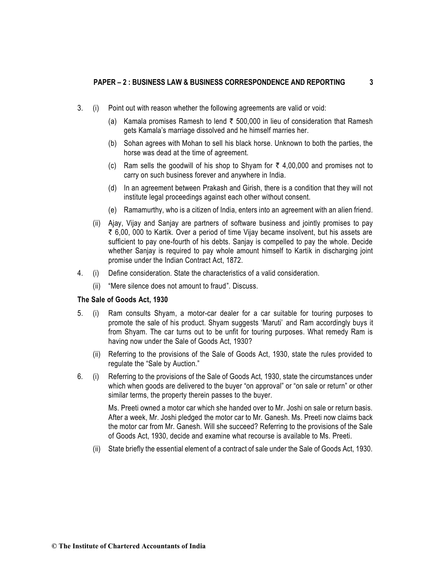- 3. (i) Point out with reason whether the following agreements are valid or void:
	- (a) Kamala promises Ramesh to lend  $\bar{\tau}$  500,000 in lieu of consideration that Ramesh gets Kamala's marriage dissolved and he himself marries her.
	- (b) Sohan agrees with Mohan to sell his black horse. Unknown to both the parties, the horse was dead at the time of agreement.
	- (c) Ram sells the goodwill of his shop to Shyam for  $\bar{\tau}$  4,00,000 and promises not to carry on such business forever and anywhere in India.
	- (d) In an agreement between Prakash and Girish, there is a condition that they will not institute legal proceedings against each other without consent.
	- (e) Ramamurthy, who is a citizen of India, enters into an agreement with an alien friend.
	- (ii) Ajay, Vijay and Sanjay are partners of software business and jointly promises to pay  $\bar{\tau}$  6.00, 000 to Kartik. Over a period of time Vijay became insolvent, but his assets are sufficient to pay one-fourth of his debts. Sanjay is compelled to pay the whole. Decide whether Sanjay is required to pay whole amount himself to Kartik in discharging joint promise under the Indian Contract Act, 1872.
- 4. (i) Define consideration. State the characteristics of a valid consideration.
	- (ii) "Mere silence does not amount to fraud". Discuss.

#### **The Sale of Goods Act, 1930**

- 5. (i) Ram consults Shyam, a motor-car dealer for a car suitable for touring purposes to promote the sale of his product. Shyam suggests 'Maruti' and Ram accordingly buys it from Shyam. The car turns out to be unfit for touring purposes. What remedy Ram is having now under the Sale of Goods Act, 1930?
	- (ii) Referring to the provisions of the Sale of Goods Act, 1930, state the rules provided to regulate the "Sale by Auction."
- 6*.* (i) Referring to the provisions of the Sale of Goods Act, 1930, state the circumstances under which when goods are delivered to the buyer "on approval" or "on sale or return" or other similar terms, the property therein passes to the buyer.

Ms. Preeti owned a motor car which she handed over to Mr. Joshi on sale or return basis. After a week, Mr. Joshi pledged the motor car to Mr. Ganesh. Ms. Preeti now claims back the motor car from Mr. Ganesh. Will she succeed? Referring to the provisions of the Sale of Goods Act, 1930, decide and examine what recourse is available to Ms. Preeti.

(ii) State briefly the essential element of a contract of sale under the Sale of Goods Act, 1930.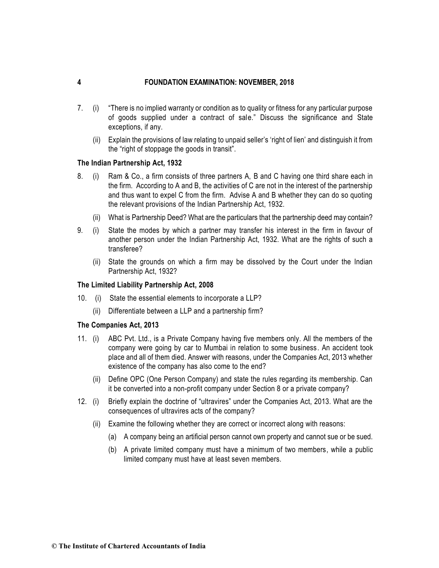- 7. (i) "There is no implied warranty or condition as to quality or fitness for any particular purpose of goods supplied under a contract of sale." Discuss the significance and State exceptions, if any.
	- (ii) Explain the provisions of law relating to unpaid seller's 'right of lien' and distinguish it from the "right of stoppage the goods in transit".

## **The Indian Partnership Act, 1932**

- 8. (i) Ram & Co., a firm consists of three partners A, B and C having one third share each in the firm. According to A and B, the activities of C are not in the interest of the partnership and thus want to expel C from the firm. Advise A and B whether they can do so quoting the relevant provisions of the Indian Partnership Act, 1932.
	- (ii) What is Partnership Deed? What are the particulars that the partnership deed may contain?
- 9*.* (i) State the modes by which a partner may transfer his interest in the firm in favour of another person under the Indian Partnership Act, 1932. What are the rights of such a transferee?
	- (ii) State the grounds on which a firm may be dissolved by the Court under the Indian Partnership Act, 1932?

#### **The Limited Liability Partnership Act, 2008**

- 10. (i) State the essential elements to incorporate a LLP?
	- (ii) Differentiate between a LLP and a partnership firm?

#### **The Companies Act, 2013**

- 11. (i) ABC Pvt. Ltd., is a Private Company having five members only. All the members of the company were going by car to Mumbai in relation to some business. An accident took place and all of them died. Answer with reasons, under the Companies Act, 2013 whether existence of the company has also come to the end?
	- (ii) Define OPC (One Person Company) and state the rules regarding its membership. Can it be converted into a non-profit company under Section 8 or a private company?
- 12. (i) Briefly explain the doctrine of "ultravires" under the Companies Act, 2013. What are the consequences of ultravires acts of the company?
	- (ii) Examine the following whether they are correct or incorrect along with reasons:
		- (a) A company being an artificial person cannot own property and cannot sue or be sued.
		- (b) A private limited company must have a minimum of two members, while a public limited company must have at least seven members.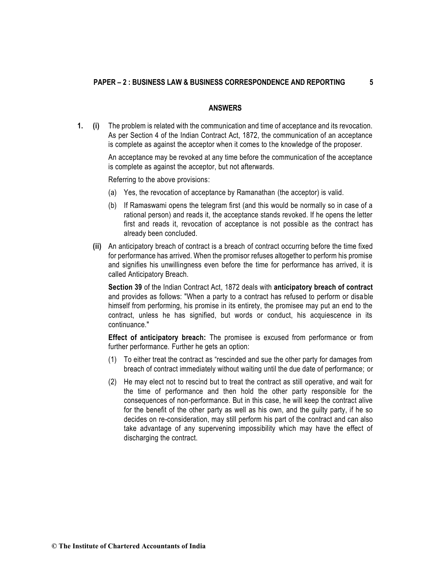#### **ANSWERS**

**1. (i)** The problem is related with the communication and time of acceptance and its revocation. As per Section 4 of the Indian Contract Act, 1872, the communication of an acceptance is complete as against the acceptor when it comes to the knowledge of the proposer.

> An acceptance may be revoked at any time before the communication of the acceptance is complete as against the acceptor, but not afterwards.

Referring to the above provisions:

- (a) Yes, the revocation of acceptance by Ramanathan (the acceptor) is valid.
- (b) If Ramaswami opens the telegram first (and this would be normally so in case of a rational person) and reads it, the acceptance stands revoked. If he opens the letter first and reads it, revocation of acceptance is not possible as the contract has already been concluded.
- **(ii)** An anticipatory breach of contract is a breach of contract occurring before the time fixed for performance has arrived. When the promisor refuses altogether to perform his promise and signifies his unwillingness even before the time for performance has arrived, it is called Anticipatory Breach.

**Section 39** of the Indian Contract Act, 1872 deals with **anticipatory breach of contract** and provides as follows: "When a party to a contract has refused to perform or disable himself from performing, his promise in its entirety, the promisee may put an end to the contract, unless he has signified, but words or conduct, his acquiescence in its continuance."

**Effect of anticipatory breach:** The promisee is excused from performance or from further performance. Further he gets an option:

- (1) To either treat the contract as "rescinded and sue the other party for damages from breach of contract immediately without waiting until the due date of performance; or
- (2) He may elect not to rescind but to treat the contract as still operative, and wait for the time of performance and then hold the other party responsible for the consequences of non-performance. But in this case, he will keep the contract alive for the benefit of the other party as well as his own, and the guilty party, if he so decides on re-consideration, may still perform his part of the contract and can also take advantage of any supervening impossibility which may have the effect of discharging the contract.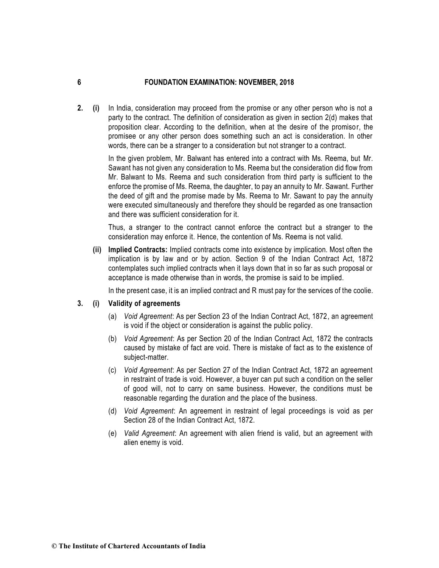**2. (i)** In India, consideration may proceed from the promise or any other person who is not a party to the contract. The definition of consideration as given in section 2(d) makes that proposition clear. According to the definition, when at the desire of the promisor, the promisee or any other person does something such an act is consideration. In other words, there can be a stranger to a consideration but not stranger to a contract.

> In the given problem, Mr. Balwant has entered into a contract with Ms. Reema, but Mr. Sawant has not given any consideration to Ms. Reema but the consideration did flow from Mr. Balwant to Ms. Reema and such consideration from third party is sufficient to the enforce the promise of Ms. Reema, the daughter, to pay an annuity to Mr. Sawant. Further the deed of gift and the promise made by Ms. Reema to Mr. Sawant to pay the annuity were executed simultaneously and therefore they should be regarded as one transaction and there was sufficient consideration for it.

> Thus, a stranger to the contract cannot enforce the contract but a stranger to the consideration may enforce it. Hence, the contention of Ms. Reema is not valid.

**(ii) Implied Contracts:** Implied contracts come into existence by implication. Most often the implication is by law and or by action. Section 9 of the Indian Contract Act, 1872 contemplates such implied contracts when it lays down that in so far as such proposal or acceptance is made otherwise than in words, the promise is said to be implied.

In the present case, it is an implied contract and R must pay for the services of the coolie.

## **3. (i) Validity of agreements**

- (a) *Void Agreement*: As per Section 23 of the Indian Contract Act, 1872, an agreement is void if the object or consideration is against the public policy.
- (b) *Void Agreement*: As per Section 20 of the Indian Contract Act, 1872 the contracts caused by mistake of fact are void. There is mistake of fact as to the existence of subject-matter.
- (c) *Void Agreement*: As per Section 27 of the Indian Contract Act, 1872 an agreement in restraint of trade is void. However, a buyer can put such a condition on the seller of good will, not to carry on same business. However, the conditions must be reasonable regarding the duration and the place of the business.
- (d) *Void Agreement*: An agreement in restraint of legal proceedings is void as per Section 28 of the Indian Contract Act, 1872.
- (e) *Valid Agreement*: An agreement with alien friend is valid, but an agreement with alien enemy is void.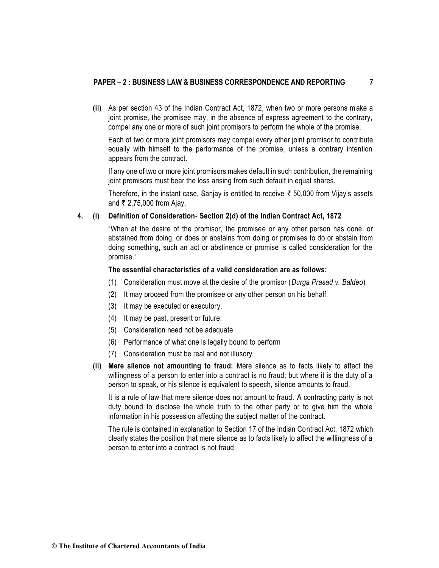#### **PAPER – 2 : BUSINESS LAW & BUSINESS CORRESPONDENCE AND REPORTING 7**

**(ii)** As per section 43 of the Indian Contract Act, 1872, when two or more persons make a joint promise, the promisee may, in the absence of express agreement to the contrary, compel any one or more of such joint promisors to perform the whole of the promise.

Each of two or more joint promisors may compel every other joint promisor to contribute equally with himself to the performance of the promise, unless a contrary intention appears from the contract.

If any one of two or more joint promisors makes default in such contribution, the remaining joint promisors must bear the loss arising from such default in equal shares.

Therefore, in the instant case, Sanjay is entitled to receive  $\bar{\tau}$  50,000 from Vijay's assets and  $\bar{\tau}$  2,75,000 from Ajay.

#### **4. (i) Definition of Consideration- Section 2(d) of the Indian Contract Act, 1872**

"When at the desire of the promisor, the promisee or any other person has done, or abstained from doing, or does or abstains from doing or promises to do or abstain from doing something, such an act or abstinence or promise is called consideration for the promise."

#### **The essential characteristics of a valid consideration are as follows:**

- (1) Consideration must move at the desire of the promisor (*Durga Prasad v. Baldeo*)
- (2) It may proceed from the promisee or any other person on his behalf.
- (3) It may be executed or executory.
- (4) It may be past, present or future.
- (5) Consideration need not be adequate
- (6) Performance of what one is legally bound to perform
- (7) Consideration must be real and not illusory
- **(ii) Mere silence not amounting to fraud:** Mere silence as to facts likely to affect the willingness of a person to enter into a contract is no fraud; but where it is the duty of a person to speak, or his silence is equivalent to speech, silence amounts to fraud.

It is a rule of law that mere silence does not amount to fraud. A contracting party is not duty bound to disclose the whole truth to the other party or to give him the whole information in his possession affecting the subject matter of the contract.

The rule is contained in explanation to Section 17 of the Indian Contract Act, 1872 which clearly states the position that mere silence as to facts likely to affect the willingness of a person to enter into a contract is not fraud.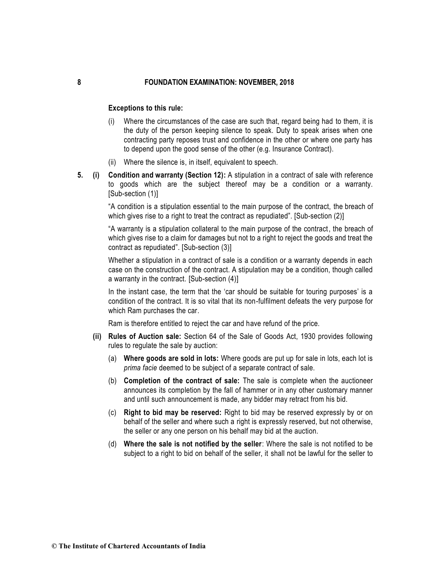#### **Exceptions to this rule:**

- (i) Where the circumstances of the case are such that, regard being had to them, it is the duty of the person keeping silence to speak. Duty to speak arises when one contracting party reposes trust and confidence in the other or where one party has to depend upon the good sense of the other (e.g. Insurance Contract).
- (ii) Where the silence is, in itself, equivalent to speech.
- **5. (i) Condition and warranty (Section 12):** A stipulation in a contract of sale with reference to goods which are the subject thereof may be a condition or a warranty. [Sub-section (1)]

"A condition is a stipulation essential to the main purpose of the contract, the breach of which gives rise to a right to treat the contract as repudiated". [Sub-section (2)]

"A warranty is a stipulation collateral to the main purpose of the contract, the breach of which gives rise to a claim for damages but not to a right to reject the goods and treat the contract as repudiated". [Sub-section (3)]

Whether a stipulation in a contract of sale is a condition or a warranty depends in each case on the construction of the contract. A stipulation may be a condition, though called a warranty in the contract. [Sub-section (4)]

In the instant case, the term that the 'car should be suitable for touring purposes' is a condition of the contract. It is so vital that its non-fulfilment defeats the very purpose for which Ram purchases the car.

Ram is therefore entitled to reject the car and have refund of the price.

- **(ii) Rules of Auction sale:** Section 64 of the Sale of Goods Act, 1930 provides following rules to regulate the sale by auction:
	- (a) **Where goods are sold in lots:** Where goods are put up for sale in lots, each lot is *prima facie* deemed to be subject of a separate contract of sale.
	- (b) **Completion of the contract of sale:** The sale is complete when the auctioneer announces its completion by the fall of hammer or in any other customary manner and until such announcement is made, any bidder may retract from his bid.
	- (c) **Right to bid may be reserved:** Right to bid may be reserved expressly by or on behalf of the seller and where such a right is expressly reserved, but not otherwise, the seller or any one person on his behalf may bid at the auction.
	- (d) **Where the sale is not notified by the seller**: Where the sale is not notified to be subject to a right to bid on behalf of the seller, it shall not be lawful for the seller to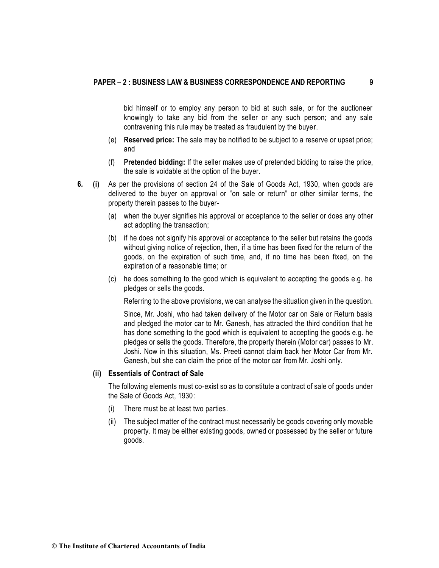bid himself or to employ any person to bid at such sale, or for the auctioneer knowingly to take any bid from the seller or any such person; and any sale contravening this rule may be treated as fraudulent by the buyer.

- (e) **Reserved price:** The sale may be notified to be subject to a reserve or upset price; and
- (f) **Pretended bidding:** If the seller makes use of pretended bidding to raise the price, the sale is voidable at the option of the buyer.
- **6***.* **(i)** As per the provisions of section 24 of the Sale of Goods Act, 1930, when goods are delivered to the buyer on approval or "on sale or return" or other similar terms, the property therein passes to the buyer-
	- (a) when the buyer signifies his approval or acceptance to the seller or does any other act adopting the transaction;
	- (b) if he does not signify his approval or acceptance to the seller but retains the goods without giving notice of rejection, then, if a time has been fixed for the return of the goods, on the expiration of such time, and, if no time has been fixed, on the expiration of a reasonable time; or
	- (c) he does something to the good which is equivalent to accepting the goods e.g. he pledges or sells the goods.

Referring to the above provisions, we can analyse the situation given in the question.

Since, Mr. Joshi, who had taken delivery of the Motor car on Sale or Return basis and pledged the motor car to Mr. Ganesh, has attracted the third condition that he has done something to the good which is equivalent to accepting the goods e.g. he pledges or sells the goods. Therefore, the property therein (Motor car) passes to Mr. Joshi. Now in this situation, Ms. Preeti cannot claim back her Motor Car from Mr. Ganesh, but she can claim the price of the motor car from Mr. Joshi only.

#### **(ii) Essentials of Contract of Sale**

The following elements must co-exist so as to constitute a contract of sale of goods under the Sale of Goods Act, 1930:

- (i) There must be at least two parties.
- (ii) The subject matter of the contract must necessarily be goods covering only movable property. It may be either existing goods, owned or possessed by the seller or future goods.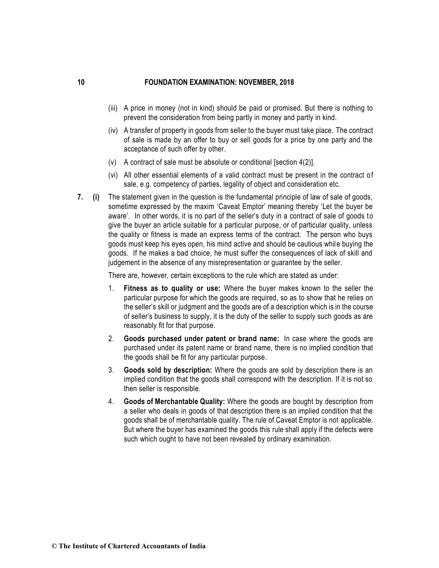- (iii) A price in money (not in kind) should be paid or promised. But there is nothing to prevent the consideration from being partly in money and partly in kind.
- (iv) A transfer of property in goods from seller to the buyer must take place. The contract of sale is made by an offer to buy or sell goods for a price by one party and the acceptance of such offer by other.
- (v) A contract of sale must be absolute or conditional [section 4(2)].
- (vi) All other essential elements of a valid contract must be present in the contract of sale, e.g. competency of parties, legality of object and consideration etc.
- **7. (i)** The statement given in the question is the fundamental principle of law of sale of goods, sometime expressed by the maxim 'Caveat Emptor' meaning thereby 'Let the buyer be aware'. In other words, it is no part of the seller's duty in a contract of sale of goods to give the buyer an article suitable for a particular purpose, or of particular quality, unless the quality or fitness is made an express terms of the contract. The person who buys goods must keep his eyes open, his mind active and should be cautious while buying the goods. If he makes a bad choice, he must suffer the consequences of lack of skill and judgement in the absence of any misrepresentation or guarantee by the seller.

There are, however, certain exceptions to the rule which are stated as under:

- 1. **Fitness as to quality or use:** Where the buyer makes known to the seller the particular purpose for which the goods are required, so as to show that he relies on the seller's skill or judgment and the goods are of a description which is in the course of seller's business to supply, it is the duty of the seller to supply such goods as are reasonably fit for that purpose.
- 2. **Goods purchased under patent or brand name:** In case where the goods are purchased under its patent name or brand name, there is no implied condition that the goods shall be fit for any particular purpose.
- 3. **Goods sold by description:** Where the goods are sold by description there is an implied condition that the goods shall correspond with the description. If it is not so then seller is responsible.
- 4. **Goods of Merchantable Quality:** Where the goods are bought by description from a seller who deals in goods of that description there is an implied condition that the goods shall be of merchantable quality. The rule of Caveat Emptor is not applicable. But where the buyer has examined the goods this rule shall apply if the defects were such which ought to have not been revealed by ordinary examination.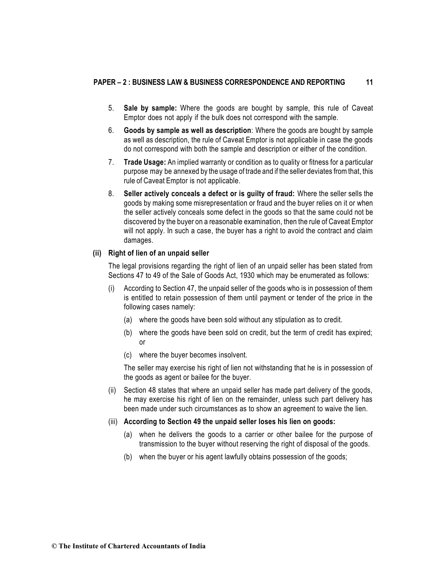- 5. **Sale by sample:** Where the goods are bought by sample, this rule of Caveat Emptor does not apply if the bulk does not correspond with the sample.
- 6. **Goods by sample as well as description**: Where the goods are bought by sample as well as description, the rule of Caveat Emptor is not applicable in case the goods do not correspond with both the sample and description or either of the condition.
- 7. **Trade Usage:** An implied warranty or condition as to quality or fitness for a particular purpose may be annexed by the usage of trade and if the seller deviates fromthat, this rule of Caveat Emptor is not applicable.
- 8. **Seller actively conceals a defect or is guilty of fraud:** Where the seller sells the goods by making some misrepresentation or fraud and the buyer relies on it or when the seller actively conceals some defect in the goods so that the same could not be discovered by the buyer on a reasonable examination, then the rule of Caveat Emptor will not apply. In such a case, the buyer has a right to avoid the contract and claim damages.

## **(ii) Right of lien of an unpaid seller**

The legal provisions regarding the right of lien of an unpaid seller has been stated from Sections 47 to 49 of the Sale of Goods Act, 1930 which may be enumerated as follows:

- (i) According to Section 47, the unpaid seller of the goods who is in possession of them is entitled to retain possession of them until payment or tender of the price in the following cases namely:
	- (a) where the goods have been sold without any stipulation as to credit.
	- (b) where the goods have been sold on credit, but the term of credit has expired; or
	- (c) where the buyer becomes insolvent.

The seller may exercise his right of lien not withstanding that he is in possession of the goods as agent or bailee for the buyer.

- (ii) Section 48 states that where an unpaid seller has made part delivery of the goods, he may exercise his right of lien on the remainder, unless such part delivery has been made under such circumstances as to show an agreement to waive the lien.
- (iii) **According to Section 49 the unpaid seller loses his lien on goods:**
	- (a) when he delivers the goods to a carrier or other bailee for the purpose of transmission to the buyer without reserving the right of disposal of the goods.
	- (b) when the buyer or his agent lawfully obtains possession of the goods;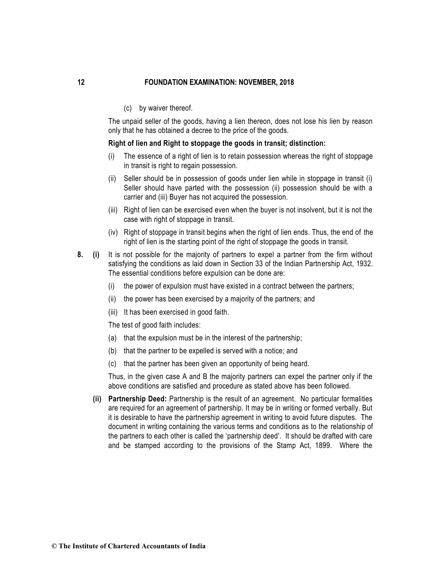(c) by waiver thereof.

The unpaid seller of the goods, having a lien thereon, does not lose his lien by reason only that he has obtained a decree to the price of the goods.

#### **Right of lien and Right to stoppage the goods in transit; distinction:**

- (i) The essence of a right of lien is to retain possession whereas the right of stoppage in transit is right to regain possession.
- (ii) Seller should be in possession of goods under lien while in stoppage in transit (i) Seller should have parted with the possession (ii) possession should be with a carrier and (iii) Buyer has not acquired the possession.
- (iii) Right of lien can be exercised even when the buyer is not insolvent, but it is not the case with right of stoppage in transit.
- (iv) Right of stoppage in transit begins when the right of lien ends. Thus, the end of the right of lien is the starting point of the right of stoppage the goods in transit.
- **8. (i)** It is not possible for the majority of partners to expel a partner from the firm without satisfying the conditions as laid down in Section 33 of the Indian Partnership Act, 1932. The essential conditions before expulsion can be done are:
	- (i) the power of expulsion must have existed in a contract between the partners;
	- (ii) the power has been exercised by a majority of the partners; and
	- (iii) It has been exercised in good faith.

The test of good faith includes:

- (a) that the expulsion must be in the interest of the partnership;
- (b) that the partner to be expelled is served with a notice; and
- (c) that the partner has been given an opportunity of being heard.

Thus, in the given case A and B the majority partners can expel the partner only if the above conditions are satisfied and procedure as stated above has been followed.

**(ii) Partnership Deed:** Partnership is the result of an agreement. No particular formalities are required for an agreement of partnership. It may be in writing or formed verbally. But it is desirable to have the partnership agreement in writing to avoid future disputes. The document in writing containing the various terms and conditions as to the relationship of the partners to each other is called the 'partnership deed'. It should be drafted with care and be stamped according to the provisions of the Stamp Act, 1899. Where the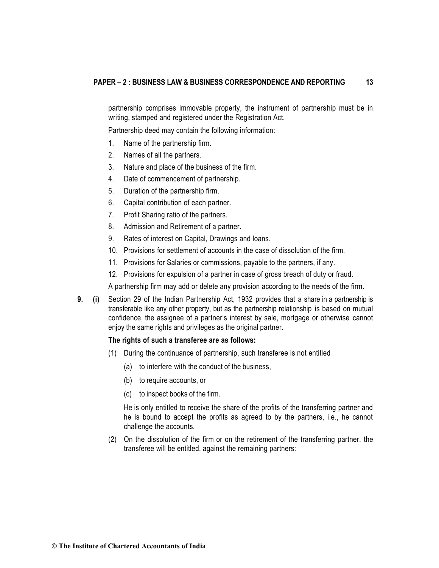partnership comprises immovable property, the instrument of partnership must be in writing, stamped and registered under the Registration Act.

Partnership deed may contain the following information:

- 1. Name of the partnership firm.
- 2. Names of all the partners.
- 3. Nature and place of the business of the firm.
- 4. Date of commencement of partnership.
- 5. Duration of the partnership firm.
- 6. Capital contribution of each partner.
- 7. Profit Sharing ratio of the partners.
- 8. Admission and Retirement of a partner.
- 9. Rates of interest on Capital, Drawings and loans.
- 10. Provisions for settlement of accounts in the case of dissolution of the firm.
- 11. Provisions for Salaries or commissions, payable to the partners, if any.
- 12. Provisions for expulsion of a partner in case of gross breach of duty or fraud.

A partnership firm may add or delete any provision according to the needs of the firm.

**9. (i)** Section 29 of the Indian Partnership Act, 1932 provides that a share in a partnership is transferable like any other property, but as the partnership relationship is based on mutual confidence, the assignee of a partner's interest by sale, mortgage or otherwise cannot enjoy the same rights and privileges as the original partner.

## **The rights of such a transferee are as follows:**

- (1) During the continuance of partnership, such transferee is not entitled
	- (a) to interfere with the conduct of the business,
	- (b) to require accounts, or
	- (c) to inspect books of the firm.

He is only entitled to receive the share of the profits of the transferring partner and he is bound to accept the profits as agreed to by the partners, i.e., he cannot challenge the accounts.

(2) On the dissolution of the firm or on the retirement of the transferring partner, the transferee will be entitled, against the remaining partners: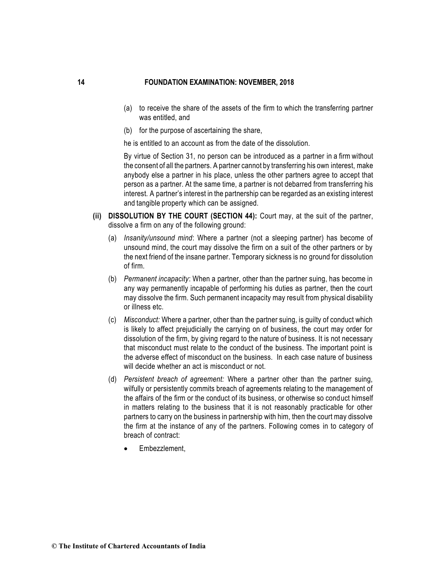- (a) to receive the share of the assets of the firm to which the transferring partner was entitled, and
- (b) for the purpose of ascertaining the share,

he is entitled to an account as from the date of the dissolution.

By virtue of Section 31, no person can be introduced as a partner in a firm without the consent of all the partners. A partner cannot by transferring his own interest, make anybody else a partner in his place, unless the other partners agree to accept that person as a partner. At the same time, a partner is not debarred from transferring his interest. A partner's interest in the partnership can be regarded as an existing interest and tangible property which can be assigned.

- **(ii) DISSOLUTION BY THE COURT (SECTION 44):** Court may, at the suit of the partner, dissolve a firm on any of the following ground:
	- (a) *Insanity/unsound mind*: Where a partner (not a sleeping partner) has become of unsound mind, the court may dissolve the firm on a suit of the other partners or by the next friend of the insane partner. Temporary sickness is no ground for dissolution of firm.
	- (b) *Permanent incapacity*: When a partner, other than the partner suing, has become in any way permanently incapable of performing his duties as partner, then the court may dissolve the firm. Such permanent incapacity may result from physical disability or illness etc.
	- (c) *Misconduct:* Where a partner, other than the partner suing, is guilty of conduct which is likely to affect prejudicially the carrying on of business, the court may order for dissolution of the firm, by giving regard to the nature of business. It is not necessary that misconduct must relate to the conduct of the business. The important point is the adverse effect of misconduct on the business. In each case nature of business will decide whether an act is misconduct or not.
	- (d) *Persistent breach of agreement:* Where a partner other than the partner suing, wilfully or persistently commits breach of agreements relating to the management of the affairs of the firm or the conduct of its business, or otherwise so conduct himself in matters relating to the business that it is not reasonably practicable for other partners to carry on the business in partnership with him, then the court may dissolve the firm at the instance of any of the partners. Following comes in to category of breach of contract:
		- Embezzlement,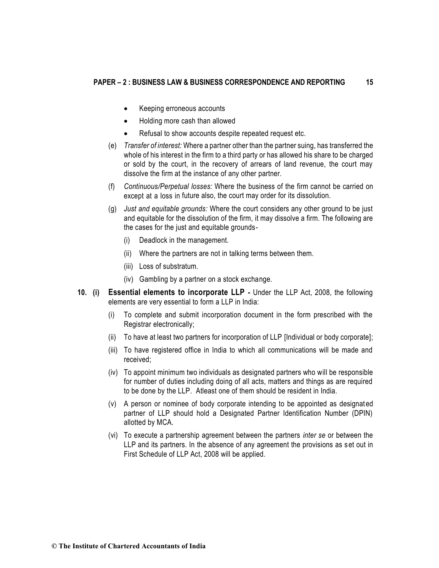- Keeping erroneous accounts
- Holding more cash than allowed
- Refusal to show accounts despite repeated request etc.
- (e) *Transfer of interest:* Where a partner other than the partner suing, has transferred the whole of his interest in the firm to a third party or has allowed his share to be charged or sold by the court, in the recovery of arrears of land revenue, the court may dissolve the firm at the instance of any other partner.
- (f) *Continuous/Perpetual losses:* Where the business of the firm cannot be carried on except at a loss in future also, the court may order for its dissolution.
- (g) *Just and equitable grounds:* Where the court considers any other ground to be just and equitable for the dissolution of the firm, it may dissolve a firm. The following are the cases for the just and equitable grounds-
	- (i) Deadlock in the management.
	- (ii) Where the partners are not in talking terms between them.
	- (iii) Loss of substratum.
	- (iv) Gambling by a partner on a stock exchange.
- **10. (i) Essential elements to incorporate LLP -** Under the LLP Act, 2008, the following elements are very essential to form a LLP in India:
	- (i) To complete and submit incorporation document in the form prescribed with the Registrar electronically;
	- (ii) To have at least two partners for incorporation of LLP [Individual or body corporate];
	- (iii) To have registered office in India to which all communications will be made and received;
	- (iv) To appoint minimum two individuals as designated partners who will be responsible for number of duties including doing of all acts, matters and things as are required to be done by the LLP. Atleast one of them should be resident in India.
	- (v) A person or nominee of body corporate intending to be appointed as designated partner of LLP should hold a Designated Partner Identification Number (DPIN) allotted by MCA.
	- (vi) To execute a partnership agreement between the partners *inter se* or between the LLP and its partners. In the absence of any agreement the provisions as set out in First Schedule of LLP Act, 2008 will be applied.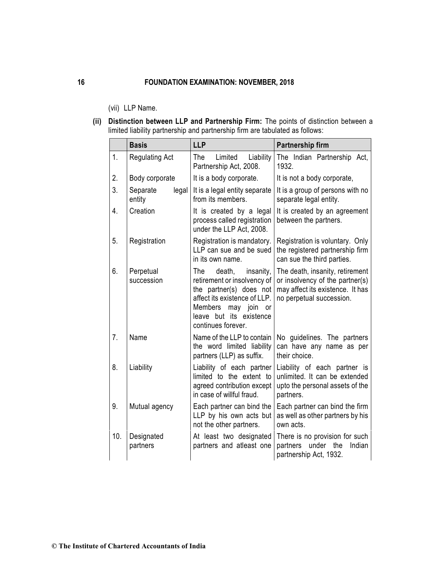- (vii) LLP Name.
- **(ii) Distinction between LLP and Partnership Firm:** The points of distinction between a limited liability partnership and partnership firm are tabulated as follows:

|                  | <b>Basis</b>                | <b>LLP</b>                                                                                                                                                                                         | Partnership firm                                                                                                                   |  |  |  |
|------------------|-----------------------------|----------------------------------------------------------------------------------------------------------------------------------------------------------------------------------------------------|------------------------------------------------------------------------------------------------------------------------------------|--|--|--|
| 1.               | <b>Regulating Act</b>       | The<br>Limited<br>Liability<br>Partnership Act, 2008.                                                                                                                                              | The Indian Partnership Act,<br>1932.                                                                                               |  |  |  |
| 2.               | Body corporate              | It is a body corporate.                                                                                                                                                                            | It is not a body corporate,                                                                                                        |  |  |  |
| 3.               | Separate<br>legal<br>entity | It is a legal entity separate<br>from its members.                                                                                                                                                 | It is a group of persons with no<br>separate legal entity.                                                                         |  |  |  |
| $\overline{4}$ . | Creation                    | It is created by a legal<br>process called registration<br>under the LLP Act, 2008.                                                                                                                | It is created by an agreement<br>between the partners.                                                                             |  |  |  |
| 5.               | Registration                | Registration is mandatory.<br>LLP can sue and be sued<br>in its own name.                                                                                                                          | Registration is voluntary. Only<br>the registered partnership firm<br>can sue the third parties.                                   |  |  |  |
| 6.               | Perpetual<br>succession     | The<br>death,<br>insanity,<br>retirement or insolvency of<br>the partner(s) does not<br>affect its existence of LLP.<br>Members<br>may join<br>or<br>leave but its existence<br>continues forever. | The death, insanity, retirement<br>or insolvency of the partner(s)<br>may affect its existence. It has<br>no perpetual succession. |  |  |  |
| 7 <sub>1</sub>   | Name                        | Name of the LLP to contain<br>the word limited liability<br>partners (LLP) as suffix.                                                                                                              | No guidelines. The partners<br>can have any name as per<br>their choice.                                                           |  |  |  |
| 8.               | Liability                   | Liability of each partner<br>limited to the extent to<br>agreed contribution except<br>in case of willful fraud.                                                                                   | Liability of each partner is<br>unlimited. It can be extended<br>upto the personal assets of the<br>partners.                      |  |  |  |
| 9.               | Mutual agency               | Each partner can bind the<br>LLP by his own acts but<br>not the other partners.                                                                                                                    | Each partner can bind the firm<br>as well as other partners by his<br>own acts.                                                    |  |  |  |
| 10.              | Designated<br>partners      | At least two designated<br>partners and atleast one                                                                                                                                                | There is no provision for such<br>under<br>partners<br>the<br>Indian<br>partnership Act, 1932.                                     |  |  |  |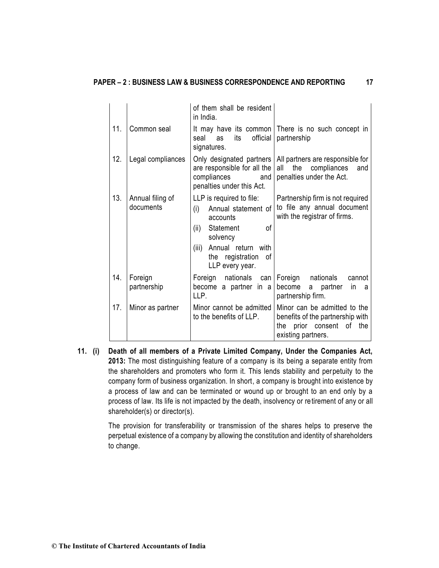|     |                               | of them shall be resident<br>in India.                                                                                                                                                  |                                                                                                                             |
|-----|-------------------------------|-----------------------------------------------------------------------------------------------------------------------------------------------------------------------------------------|-----------------------------------------------------------------------------------------------------------------------------|
| 11. | Common seal                   | official<br>seal<br>its<br>as<br>signatures.                                                                                                                                            | It may have its common   There is no such concept in<br>partnership                                                         |
| 12. | Legal compliances             | Only designated partners<br>are responsible for all the<br>compliances<br>and<br>penalties under this Act.                                                                              | All partners are responsible for<br>the compliances<br>all<br>and<br>penalties under the Act.                               |
| 13. | Annual filing of<br>documents | LLP is required to file:<br>Annual statement of<br>(i)<br>accounts<br>Statement<br>Ωf<br>(ii)<br>solvency<br>Annual return with<br>(iii)<br>the registration<br>- of<br>LLP every year. | Partnership firm is not required<br>to file any annual document<br>with the registrar of firms.                             |
| 14. | Foreign<br>partnership        | Foreign nationals can<br>become a partner in a<br>LLP.                                                                                                                                  | Foreign<br>nationals<br>cannot<br>become a partner<br><i>in</i><br>a<br>partnership firm.                                   |
| 17. | Minor as partner              | Minor cannot be admitted<br>to the benefits of LLP.                                                                                                                                     | Minor can be admitted to the<br>benefits of the partnership with<br>prior consent<br>the<br>the<br>οf<br>existing partners. |

**11. (i) Death of all members of a Private Limited Company, Under the Companies Act, 2013:** The most distinguishing feature of a company is its being a separate entity from the shareholders and promoters who form it. This lends stability and perpetuity to the company form of business organization. In short, a company is brought into existence by a process of law and can be terminated or wound up or brought to an end only by a process of law. Its life is not impacted by the death, insolvency or retirement of any or all shareholder(s) or director(s).

> The provision for transferability or transmission of the shares helps to preserve the perpetual existence of a company by allowing the constitution and identity of shareholders to change.

**© The Institute of Chartered Accountants of India**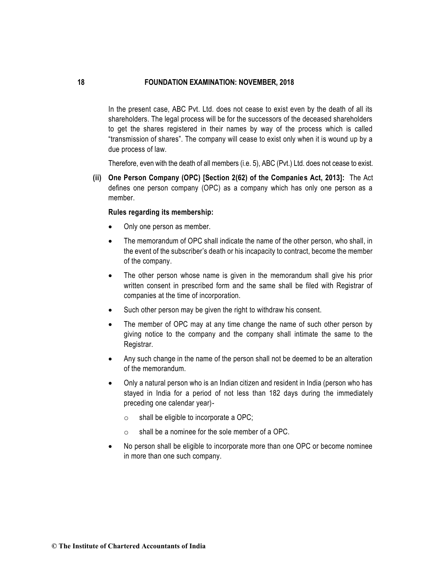In the present case, ABC Pvt. Ltd. does not cease to exist even by the death of all its shareholders. The legal process will be for the successors of the deceased shareholders to get the shares registered in their names by way of the process which is called "transmission of shares". The company will cease to exist only when it is wound up by a due process of law.

Therefore, even with the death of all members (i.e. 5), ABC (Pvt.) Ltd. does not cease to exist.

**(ii) One Person Company (OPC) [Section 2(62) of the Companies Act, 2013]:** The Act defines one person company (OPC) as a company which has only one person as a member.

#### **Rules regarding its membership:**

- Only one person as member.
- The memorandum of OPC shall indicate the name of the other person, who shall, in the event of the subscriber's death or his incapacity to contract, become the member of the company.
- The other person whose name is given in the memorandum shall give his prior written consent in prescribed form and the same shall be filed with Registrar of companies at the time of incorporation.
- Such other person may be given the right to withdraw his consent.
- The member of OPC may at any time change the name of such other person by giving notice to the company and the company shall intimate the same to the Registrar.
- Any such change in the name of the person shall not be deemed to be an alteration of the memorandum.
- Only a natural person who is an Indian citizen and resident in India (person who has stayed in India for a period of not less than 182 days during the immediately preceding one calendar year)-
	- $\circ$  shall be eligible to incorporate a OPC;
	- o shall be a nominee for the sole member of a OPC.
- No person shall be eligible to incorporate more than one OPC or become nominee in more than one such company.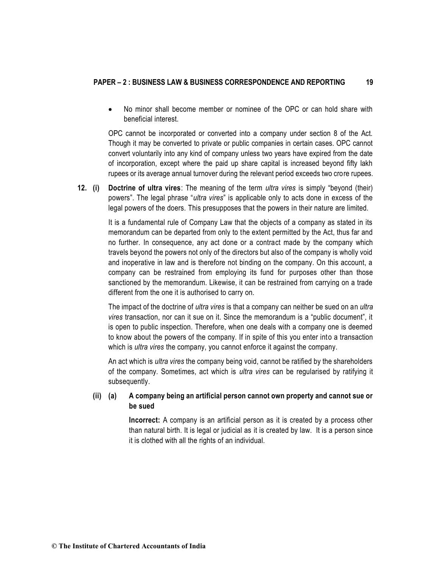## **PAPER – 2 : BUSINESS LAW & BUSINESS CORRESPONDENCE AND REPORTING 19**

• No minor shall become member or nominee of the OPC or can hold share with beneficial interest.

OPC cannot be incorporated or converted into a company under section 8 of the Act. Though it may be converted to private or public companies in certain cases. OPC cannot convert voluntarily into any kind of company unless two years have expired from the date of incorporation, except where the paid up share capital is increased beyond fifty lakh rupees or its average annual turnover during the relevant period exceeds two crore rupees.

**12. (i) Doctrine of ultra vires**: The meaning of the term *ultra vires* is simply "beyond (their) powers". The legal phrase "*ultra vires*" is applicable only to acts done in excess of the legal powers of the doers. This presupposes that the powers in their nature are limited.

> It is a fundamental rule of Company Law that the objects of a company as stated in its memorandum can be departed from only to the extent permitted by the Act, thus far and no further. In consequence, any act done or a contract made by the company which travels beyond the powers not only of the directors but also of the company is wholly void and inoperative in law and is therefore not binding on the company. On this account, a company can be restrained from employing its fund for purposes other than those sanctioned by the memorandum. Likewise, it can be restrained from carrying on a trade different from the one it is authorised to carry on.

> The impact of the doctrine of *ultra vires* is that a company can neither be sued on an *ultra vires* transaction, nor can it sue on it. Since the memorandum is a "public document", it is open to public inspection. Therefore, when one deals with a company one is deemed to know about the powers of the company. If in spite of this you enter into a transaction which is *ultra vires* the company, you cannot enforce it against the company.

> An act which is *ultra vires* the company being void, cannot be ratified by the shareholders of the company. Sometimes, act which is *ultra vires* can be regularised by ratifying it subsequently.

# **(ii) (a) A company being an artificial person cannot own property and cannot sue or be sued**

**Incorrect:** A company is an artificial person as it is created by a process other than natural birth. It is legal or judicial as it is created by law. It is a person since it is clothed with all the rights of an individual.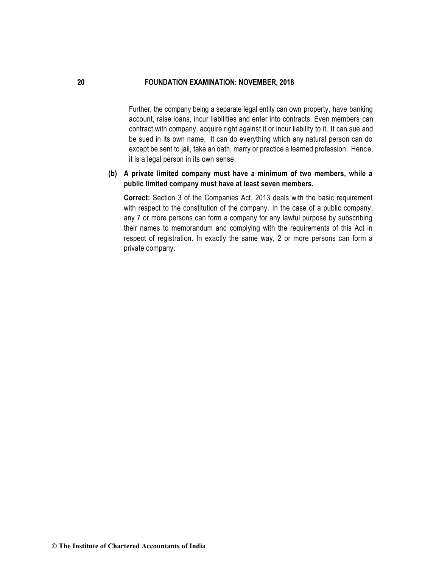Further, the company being a separate legal entity can own property, have banking account, raise loans, incur liabilities and enter into contracts. Even members can contract with company, acquire right against it or incur liability to it. It can sue and be sued in its own name. It can do everything which any natural person can do except be sent to jail, take an oath, marry or practice a learned profession. Hence, it is a legal person in its own sense.

# **(b) A private limited company must have a minimum of two members, while a public limited company must have at least seven members.**

**Correct:** Section 3 of the Companies Act, 2013 deals with the basic requirement with respect to the constitution of the company. In the case of a public company, any 7 or more persons can form a company for any lawful purpose by subscribing their names to memorandum and complying with the requirements of this Act in respect of registration. In exactly the same way, 2 or more persons can form a private company.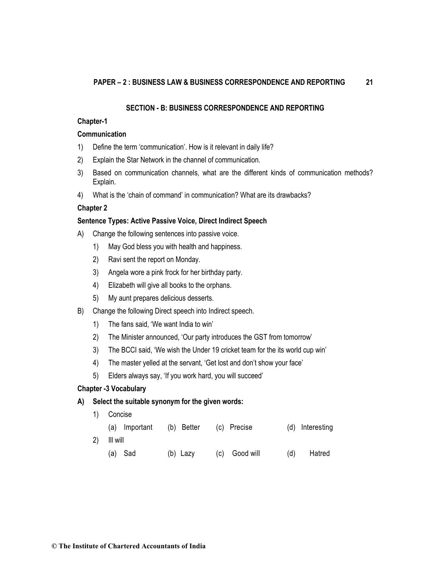#### **SECTION - B: BUSINESS CORRESPONDENCE AND REPORTING**

#### **Chapter-1**

#### **Communication**

- 1) Define the term 'communication'. How is it relevant in daily life?
- 2) Explain the Star Network in the channel of communication.
- 3) Based on communication channels, what are the different kinds of communication methods? Explain.
- 4) What is the 'chain of command' in communication? What are its drawbacks?

## **Chapter 2**

# **Sentence Types: Active Passive Voice, Direct Indirect Speech**

- A) Change the following sentences into passive voice.
	- 1) May God bless you with health and happiness.
	- 2) Ravi sent the report on Monday.
	- 3) Angela wore a pink frock for her birthday party.
	- 4) Elizabeth will give all books to the orphans.
	- 5) My aunt prepares delicious desserts.
- B) Change the following Direct speech into Indirect speech.
	- 1) The fans said, 'We want India to win'
	- 2) The Minister announced, 'Our party introduces the GST from tomorrow'
	- 3) The BCCI said, 'We wish the Under 19 cricket team for the its world cup win'
	- 4) The master yelled at the servant, 'Get lost and don't show your face'
	- 5) Elders always say, 'If you work hard, you will succeed'

# **Chapter -3 Vocabulary**

# **A) Select the suitable synonym for the given words:**

| 1)  | Concise       |            |               |     |                 |
|-----|---------------|------------|---------------|-----|-----------------|
|     | (a) Important | (b) Better | (c) Precise   |     | (d) Interesting |
| (2) | III will      |            |               |     |                 |
|     | (a) Sad       | (b) Lazy   | (c) Good will | (d) | Hatred          |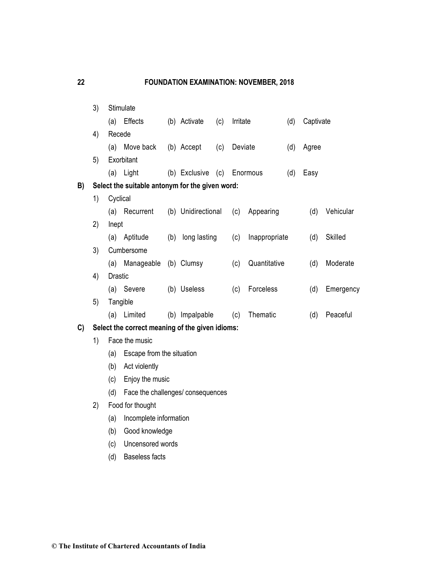|    | 3) |                | Stimulate                                       |     |                    |     |          |               |     |           |                |
|----|----|----------------|-------------------------------------------------|-----|--------------------|-----|----------|---------------|-----|-----------|----------------|
|    |    | (a)            | Effects                                         |     | (b) Activate       | (c) | Irritate |               | (d) | Captivate |                |
|    | 4) | Recede         |                                                 |     |                    |     |          |               |     |           |                |
|    |    | (a)            | Move back                                       |     | (b) Accept         | (c) | Deviate  |               | (d) | Agree     |                |
|    | 5) |                | Exorbitant                                      |     |                    |     |          |               |     |           |                |
|    |    |                | (a) Light                                       |     | (b) Exclusive      | (c) |          | Enormous      | (d) | Easy      |                |
| B) |    |                | Select the suitable antonym for the given word: |     |                    |     |          |               |     |           |                |
|    | 1) | Cyclical       |                                                 |     |                    |     |          |               |     |           |                |
|    |    |                | (a) Recurrent                                   |     | (b) Unidirectional |     | (c)      | Appearing     |     | (d)       | Vehicular      |
|    | 2) | Inept          |                                                 |     |                    |     |          |               |     |           |                |
|    |    |                | (a) Aptitude                                    | (b) | long lasting       |     | (c)      | Inappropriate |     | (d)       | <b>Skilled</b> |
|    | 3) |                | Cumbersome                                      |     |                    |     |          |               |     |           |                |
|    |    | (a)            | Manageable                                      |     | (b) Clumsy         |     | (c)      | Quantitative  |     | (d)       | Moderate       |
|    | 4) | <b>Drastic</b> |                                                 |     |                    |     |          |               |     |           |                |
|    |    |                | (a) Severe                                      |     | (b) Useless        |     | (c)      | Forceless     |     | (d)       | Emergency      |
|    | 5) |                | Tangible                                        |     |                    |     |          |               |     |           |                |
|    |    |                | (a) Limited                                     |     | (b) Impalpable     |     | (c)      | Thematic      |     | (d)       | Peaceful       |
| C) |    |                | Select the correct meaning of the given idioms: |     |                    |     |          |               |     |           |                |
|    | 1) | Face the music |                                                 |     |                    |     |          |               |     |           |                |
|    |    | (a)            | Escape from the situation                       |     |                    |     |          |               |     |           |                |
|    |    | (b)            | Act violently                                   |     |                    |     |          |               |     |           |                |
|    |    | (c)            | Enjoy the music                                 |     |                    |     |          |               |     |           |                |
|    |    | (d)            | Face the challenges/ consequences               |     |                    |     |          |               |     |           |                |
|    | 2) |                | Food for thought                                |     |                    |     |          |               |     |           |                |
|    |    | (a)            | Incomplete information                          |     |                    |     |          |               |     |           |                |
|    |    | (b)            | Good knowledge                                  |     |                    |     |          |               |     |           |                |
|    |    | (c)            | Uncensored words                                |     |                    |     |          |               |     |           |                |
|    |    | (d)            | <b>Baseless facts</b>                           |     |                    |     |          |               |     |           |                |
|    |    |                |                                                 |     |                    |     |          |               |     |           |                |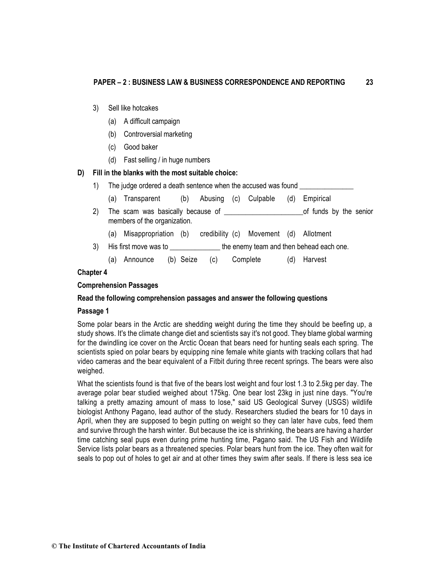- 3) Sell like hotcakes
	- (a) A difficult campaign
	- (b) Controversial marketing
	- (c) Good baker
	- (d) Fast selling / in huge numbers

#### **D) Fill in the blanks with the most suitable choice:**

| 1) | The judge ordered a death sentence when the accused was found _______ |  |                          |  |                                        |     |           |  |
|----|-----------------------------------------------------------------------|--|--------------------------|--|----------------------------------------|-----|-----------|--|
|    | (a) Transparent                                                       |  | (b) Abusing (c) Culpable |  |                                        | (d) | Empirical |  |
|    | of funds by the senior<br>members of the organization.                |  |                          |  |                                        |     |           |  |
|    | (a) Misappropriation (b)                                              |  |                          |  | credibility (c) Movement (d) Allotment |     |           |  |
| 3) | the enemy team and then behead each one.<br>His first move was to     |  |                          |  |                                        |     |           |  |

(a) Announce (b) Seize (c) Complete (d) Harvest

#### **Chapter 4**

#### **Comprehension Passages**

## **Read the following comprehension passages and answer the following questions**

#### **Passage 1**

Some polar bears in the Arctic are shedding weight during the time they should be beefing up, a study shows. It's the climate change diet and scientists say it's not good. They blame global warming for the dwindling ice cover on the Arctic Ocean that bears need for hunting seals each spring. The scientists spied on polar bears by equipping nine female white giants with tracking collars that had video cameras and the bear equivalent of a Fitbit during three recent springs. The bears were also weighed.

What the scientists found is that five of the bears lost weight and four lost 1.3 to 2.5kg per day. The average polar bear studied weighed about 175kg. One bear lost 23kg in just nine days. "You're talking a pretty amazing amount of mass to lose," said US Geological Survey (USGS) wildlife biologist Anthony Pagano, lead author of the study. Researchers studied the bears for 10 days in April, when they are supposed to begin putting on weight so they can later have cubs, feed them and survive through the harsh winter. But because the ice is shrinking, the bears are having a harder time catching seal pups even during prime hunting time, Pagano said. The US Fish and Wildlife Service lists polar bears as a threatened species. Polar bears hunt from the ice. They often wait for seals to pop out of holes to get air and at other times they swim after seals. If there is less sea ice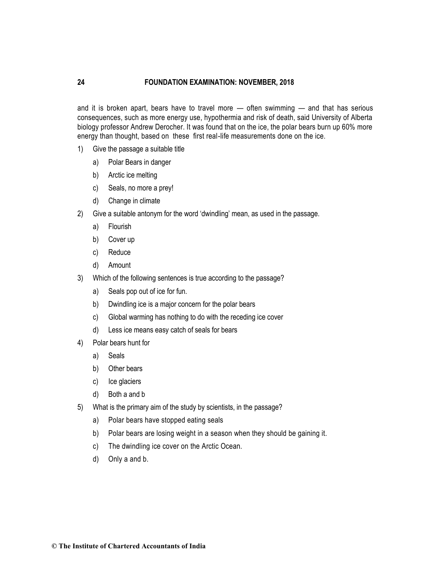and it is broken apart, bears have to travel more — often swimming — and that has serious consequences, such as more energy use, hypothermia and risk of death, said University of Alberta biology professor Andrew Derocher. It was found that on the ice, the polar bears burn up 60% more energy than thought, based on these first real-life measurements done on the ice.

- 1) Give the passage a suitable title
	- a) Polar Bears in danger
	- b) Arctic ice melting
	- c) Seals, no more a prey!
	- d) Change in climate
- 2) Give a suitable antonym for the word 'dwindling' mean, as used in the passage.
	- a) Flourish
	- b) Cover up
	- c) Reduce
	- d) Amount
- 3) Which of the following sentences is true according to the passage?
	- a) Seals pop out of ice for fun.
	- b) Dwindling ice is a major concern for the polar bears
	- c) Global warming has nothing to do with the receding ice cover
	- d) Less ice means easy catch of seals for bears
- 4) Polar bears hunt for
	- a) Seals
	- b) Other bears
	- c) Ice glaciers
	- d) Both a and b
- 5) What is the primary aim of the study by scientists, in the passage?
	- a) Polar bears have stopped eating seals
	- b) Polar bears are losing weight in a season when they should be gaining it.
	- c) The dwindling ice cover on the Arctic Ocean.
	- d) Only a and b.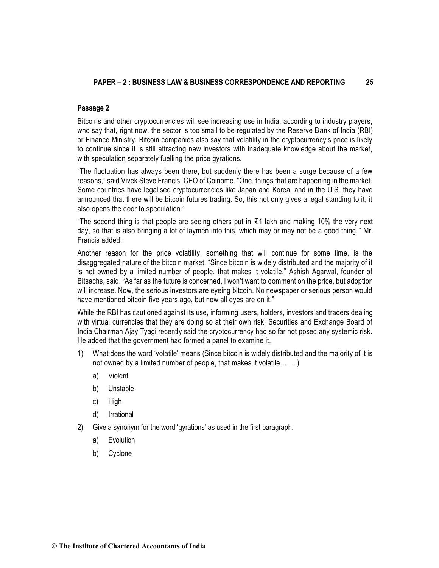# **Passage 2**

Bitcoins and other cryptocurrencies will see increasing use in India, according to industry players, who say that, right now, the sector is too small to be regulated by the Reserve Bank of India (RBI) or Finance Ministry. Bitcoin companies also say that volatility in the cryptocurrency's price is likely to continue since it is still attracting new investors with inadequate knowledge about the market, with speculation separately fuelling the price gyrations.

"The fluctuation has always been there, but suddenly there has been a surge because of a few reasons," said Vivek Steve Francis, CEO of Coinome. "One, things that are happening in the market. Some countries have legalised cryptocurrencies like Japan and Korea, and in the U.S. they have announced that there will be bitcoin futures trading. So, this not only gives a legal standing to it, it also opens the door to speculation."

"The second thing is that people are seeing others put in ₹1 lakh and making 10% the very next day, so that is also bringing a lot of laymen into this, which may or may not be a good thing," Mr. Francis added.

Another reason for the price volatility, something that will continue for some time, is the disaggregated nature of the bitcoin market. "Since bitcoin is widely distributed and the majority of it is not owned by a limited number of people, that makes it volatile," Ashish Agarwal, founder of Bitsachs, said. "As far as the future is concerned, I won't want to comment on the price, but adoption will increase. Now, the serious investors are eyeing bitcoin. No newspaper or serious person would have mentioned bitcoin five years ago, but now all eyes are on it."

While the RBI has cautioned against its use, informing users, holders, investors and traders dealing with virtual currencies that they are doing so at their own risk, Securities and Exchange Board of India Chairman Ajay Tyagi recently said the cryptocurrency had so far not posed any systemic risk. He added that the government had formed a panel to examine it.

- 1) What does the word 'volatile' means (Since bitcoin is widely distributed and the majority of it is not owned by a limited number of people, that makes it volatile……..)
	- a) Violent
	- b) Unstable
	- c) High
	- d) Irrational
- 2) Give a synonym for the word 'gyrations' as used in the first paragraph.
	- a) Evolution
	- b) Cyclone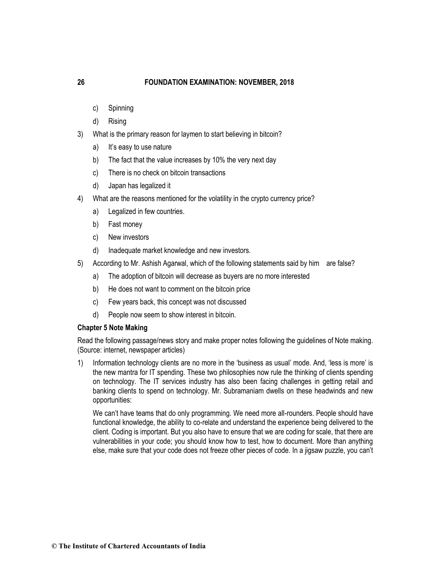- c) Spinning
- d) Rising
- 3) What is the primary reason for laymen to start believing in bitcoin?
	- a) It's easy to use nature
	- b) The fact that the value increases by 10% the very next day
	- c) There is no check on bitcoin transactions
	- d) Japan has legalized it
- 4) What are the reasons mentioned for the volatility in the crypto currency price?
	- a) Legalized in few countries.
	- b) Fast money
	- c) New investors
	- d) Inadequate market knowledge and new investors.
- 5) According to Mr. Ashish Agarwal, which of the following statements said by him are false?
	- a) The adoption of bitcoin will decrease as buyers are no more interested
	- b) He does not want to comment on the bitcoin price
	- c) Few years back, this concept was not discussed
	- d) People now seem to show interest in bitcoin.

## **Chapter 5 Note Making**

Read the following passage/news story and make proper notes following the guidelines of Note making. (Source: internet, newspaper articles)

1) Information technology clients are no more in the 'business as usual' mode. And, 'less is more' is the new mantra for IT spending. These two philosophies now rule the thinking of clients spending on technology. The IT services industry has also been facing challenges in getting retail and banking clients to spend on technology. Mr. Subramaniam dwells on these headwinds and new opportunities:

We can't have teams that do only programming. We need more all-rounders. People should have functional knowledge, the ability to co-relate and understand the experience being delivered to the client. Coding is important. But you also have to ensure that we are coding for scale, that there are vulnerabilities in your code; you should know how to test, how to document. More than anything else, make sure that your code does not freeze other pieces of code. In a jigsaw puzzle, you can't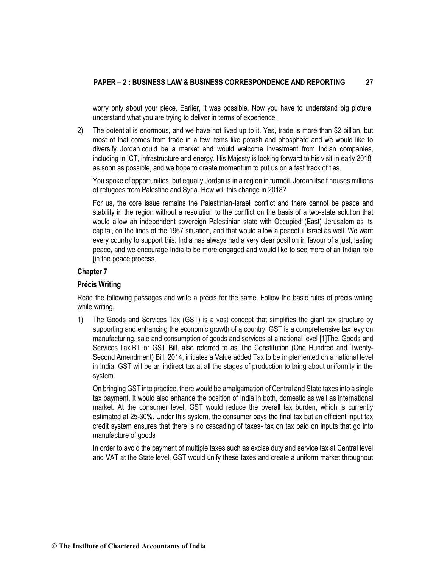worry only about your piece. Earlier, it was possible. Now you have to understand big picture; understand what you are trying to deliver in terms of experience.

2) The potential is enormous, and we have not lived up to it. Yes, trade is more than \$2 billion, but most of that comes from trade in a few items like potash and phosphate and we would like to diversify. Jordan could be a market and would welcome investment from Indian companies, including in ICT, infrastructure and energy. His Majesty is looking forward to his visit in early 2018, as soon as possible, and we hope to create momentum to put us on a fast track of ties.

You spoke of opportunities, but equally Jordan is in a region in turmoil. Jordan itself houses millions of refugees from Palestine and Syria. How will this change in 2018?

For us, the core issue remains the Palestinian-Israeli conflict and there cannot be peace and stability in the region without a resolution to the conflict on the basis of a two-state solution that would allow an independent sovereign Palestinian state with Occupied (East) Jerusalem as its capital, on the lines of the 1967 situation, and that would allow a peaceful [Israel](http://www.thehindu.com/tag/333-244/israel/?utm=bodytag) as well. We want every country to support this. India has always had a very clear position in favour of a just, lasting peace, and we encourage India to be more engaged and would like to see more of an Indian role [in the peace process.

# **Chapter 7**

## **Précis Writing**

Read the following passages and write a précis for the same. Follow the basic rules of précis writing while writing.

1) The Goods and Services Tax (GST) is a vast concept that simplifies the giant tax structure by supporting and enhancing the [economic growth](https://www.omicsonline.org/open-access/business-and-economics-journal-abstract.php?abstract_id=76605) of a country. GST is a comprehensive tax levy on manufacturing, sale and consumption of goods and services at a national level [\[1\]](https://www.omicsonline.org/open-access/a-research-paper-on-an-impact-of-goods-and-service-tax-gst-on-indianeconomy-2151-6219-1000264.php?aid=82626#1)The. Goods and Services [Tax](https://www.omicsonline.org/open-access/outbound-logistics-performance-and-profitability-taxonomy-ofmanufacturing-and-service-organizations-2151-6219-1000221.php?aid=77106) Bill or GST Bill, also referred to as The Constitution (One Hundred and Twenty-Second Amendment) Bill, 2014, initiates a Value added Tax to be implemented on a national level in India. GST will be an indirect tax at all the stages of production to bring about uniformity in the system.

On bringing GST into practice, there would be [amalgamation](https://www.rroij.com/open-access/the-amalgamation-of-nlp-with-textcategorization.php?aid=56811) of Central and State taxes into a single tax payment. It would also enhance the position of India in both, domestic as well as [international](https://www.omicsonline.org/open-access/reputation-as-a-competitive-advantage-in-international-market-entry-in-the-pharmaceutical-2162-6359-1000260.php?aid=54872)  [market.](https://www.omicsonline.org/open-access/reputation-as-a-competitive-advantage-in-international-market-entry-in-the-pharmaceutical-2162-6359-1000260.php?aid=54872) At the consumer level, GST would reduce the overall tax burden, which is currently estimated at 25-30%. Under this system, the consumer pays the final tax but an efficient input tax credit system ensures that there is no cascading of taxes- tax on tax paid on inputs that go into manufacture of goods

In order to avoid the payment of multiple taxes such as excise duty and service tax at Central level and VAT at the State level, GST would unify these taxes and create a uniform market throughout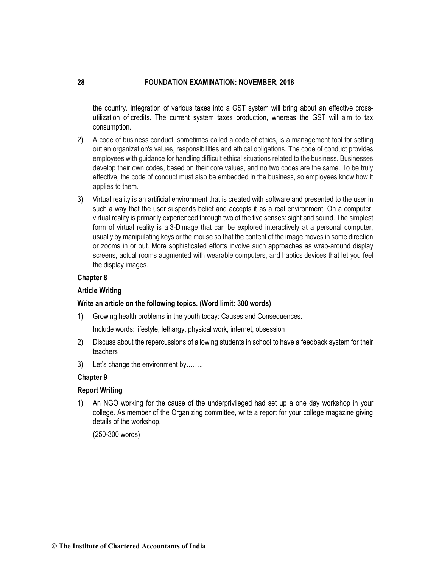the country. Integration of various taxes into a GST system will bring about an effective crossutilization of credits. The current system taxes production, whereas the GST will aim to tax consumption.

- 2) A code of business conduct, sometimes called a code of ethics, is a management tool for setting out an organization's values, responsibilities and ethical obligations. The code of conduct provides employees with guidance for handling difficult ethical situations related to the business. Businesses develop their own codes, based on their core values, and no two codes are the same. To be truly effective, the code of conduct must also be embedded in the business, so employees know how it applies to them.
- 3) Virtual reality is an artificial environment that is created with software and presented to the user in such a way that the user suspends belief and accepts it as a real environment. On a computer, virtual reality is primarily experienced through two of the five senses: sight and sound. The simplest form of virtual reality is a [3-Dim](http://whatis.techtarget.com/definition/3-D-three-dimensions-or-three-dimensional)age that can be explored interactively at a personal computer, usually by manipulating keys or the mouse so that the content of the image moves in some direction or zooms in or out. More sophisticated efforts involve such approaches as wrap-around display screens, actual rooms augmented with wearable computers, and [haptics](http://searchcio-midmarket.techtarget.com/definition/haptics) devices that let you feel the display images.

# **Chapter 8**

## **Article Writing**

## **Write an article on the following topics. (Word limit: 300 words)**

1) Growing health problems in the youth today: Causes and Consequences.

Include words: lifestyle, lethargy, physical work, internet, obsession

- 2) Discuss about the repercussions of allowing students in school to have a feedback system for their teachers
- 3) Let's change the environment by……..

## **Chapter 9**

## **Report Writing**

1) An NGO working for the cause of the underprivileged had set up a one day workshop in your college. As member of the Organizing committee, write a report for your college magazine giving details of the workshop.

(250-300 words)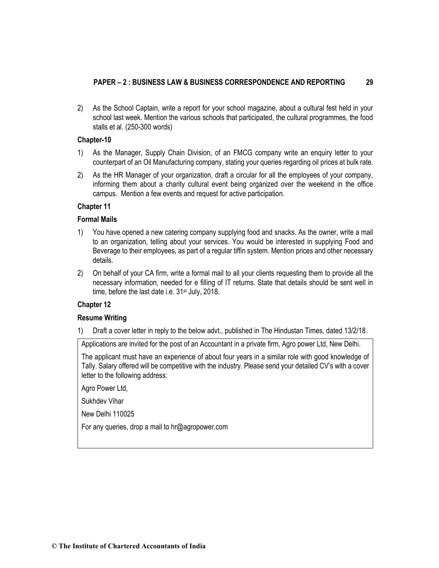# **PAPER – 2 : BUSINESS LAW & BUSINESS CORRESPONDENCE AND REPORTING 29**

2) As the School Captain, write a report for your school magazine, about a cultural fest held in your school last week. Mention the various schools that participated, the cultural programmes, the food stalls et al. (250-300 words)

# **Chapter-10**

- 1) As the Manager, Supply Chain Division, of an FMCG company write an enquiry letter to your counterpart of an Oil Manufacturing company, stating your queries regarding oil prices at bulk rate.
- 2) As the HR Manager of your organization, draft a circular for all the employees of your company, informing them about a charity cultural event being organized over the weekend in the office campus. Mention a few events and request for active participation.

# **Chapter 11**

## **Formal Mails**

- 1) You have opened a new catering company supplying food and snacks. As the owner, write a mail to an organization, telling about your services. You would be interested in supplying Food and Beverage to their employees, as part of a regular tiffin system. Mention prices and other necessary details.
- 2) On behalf of your CA firm, write a formal mail to all your clients requesting them to provide all the necessary information, needed for e filling of IT returns. State that details should be sent well in time, before the last date i.e. 31<sup>st</sup> July, 2018.

# **Chapter 12**

## **Resume Writing**

1) Draft a cover letter in reply to the below advt., published in The Hindustan Times, dated 13/2/18.

Applications are invited for the post of an Accountant in a private firm, Agro power Ltd, New Delhi.

The applicant must have an experience of about four years in a similar role with good knowledge of Tally. Salary offered will be competitive with the industry. Please send your detailed CV's with a cover letter to the following address:

Agro Power Ltd,

Sukhdev Vihar

New Delhi 110025

For any queries, drop a mail to hr@agropower.com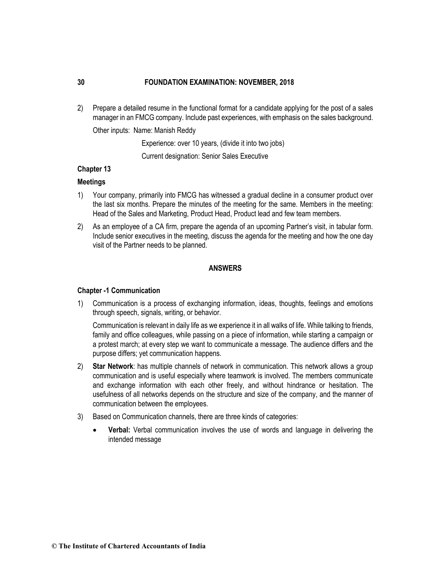2) Prepare a detailed resume in the functional format for a candidate applying for the post of a sales manager in an FMCG company. Include past experiences, with emphasis on the sales background.

Other inputs: Name: Manish Reddy

Experience: over 10 years, (divide it into two jobs)

Current designation: Senior Sales Executive

## **Chapter 13**

#### **Meetings**

- 1) Your company, primarily into FMCG has witnessed a gradual decline in a consumer product over the last six months. Prepare the minutes of the meeting for the same. Members in the meeting: Head of the Sales and Marketing, Product Head, Product lead and few team members.
- 2) As an employee of a CA firm, prepare the agenda of an upcoming Partner's visit, in tabular form. Include senior executives in the meeting, discuss the agenda for the meeting and how the one day visit of the Partner needs to be planned.

# **ANSWERS**

#### **Chapter -1 Communication**

1) Communication is a process of exchanging information, ideas, thoughts, feelings and emotions through speech, signals, writing, or behavior.

Communication is relevant in daily life as we experience it in all walks of life. While talking to friends, family and office colleagues, while passing on a piece of information, while starting a campaign or a protest march; at every step we want to communicate a message. The audience differs and the purpose differs; yet communication happens.

- 2) **Star Network**: has multiple channels of network in communication. This network allows a group communication and is useful especially where teamwork is involved. The members communicate and exchange information with each other freely, and without hindrance or hesitation. The usefulness of all networks depends on the structure and size of the company, and the manner of communication between the employees.
- 3) Based on Communication channels, there are three kinds of categories:
	- **Verbal:** Verbal communication involves the use of words and language in delivering the intended message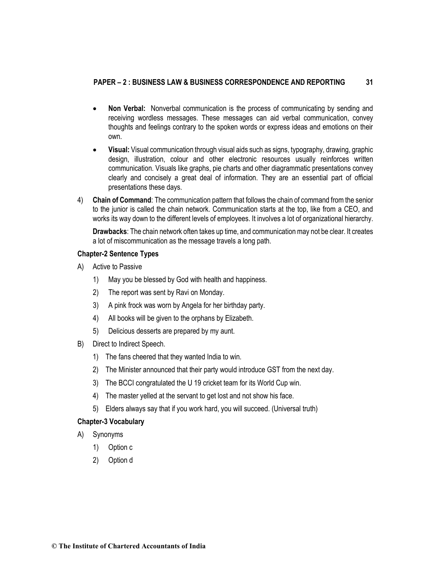# **PAPER – 2 : BUSINESS LAW & BUSINESS CORRESPONDENCE AND REPORTING 31**

- **Non Verbal:** Nonverbal communication is the process of communicating by sending and receiving wordless messages. These messages can aid verbal communication, convey thoughts and feelings contrary to the spoken words or express ideas and emotions on their own.
- **Visual:** Visual communication through visual aids such as signs, typography, drawing, graphic design, illustration, colour and other electronic resources usually reinforces written communication. Visuals like graphs, pie charts and other diagrammatic presentations convey clearly and concisely a great deal of information. They are an essential part of official presentations these days.
- 4) **Chain of Command**: The communication pattern that follows the chain of command from the senior to the junior is called the chain network. Communication starts at the top, like from a CEO, and works its way down to the different levels of employees. It involves a lot of organizational hierarchy.

**Drawbacks**: The chain network often takes up time, and communication may not be clear. It creates a lot of miscommunication as the message travels a long path.

# **Chapter-2 Sentence Types**

- A) Active to Passive
	- 1) May you be blessed by God with health and happiness.
	- 2) The report was sent by Ravi on Monday.
	- 3) A pink frock was worn by Angela for her birthday party.
	- 4) All books will be given to the orphans by Elizabeth.
	- 5) Delicious desserts are prepared by my aunt.
- B) Direct to Indirect Speech.
	- 1) The fans cheered that they wanted India to win.
	- 2) The Minister announced that their party would introduce GST from the next day.
	- 3) The BCCI congratulated the U 19 cricket team for its World Cup win.
	- 4) The master yelled at the servant to get lost and not show his face.
	- 5) Elders always say that if you work hard, you will succeed. (Universal truth)

## **Chapter-3 Vocabulary**

- A) Synonyms
	- 1) Option c
	- 2) Option d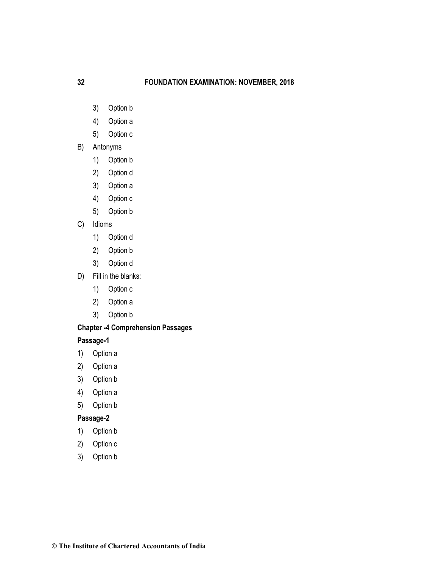- 3) Option b
- 4) Option a
- 5) Option c
- B) Antonyms
	- 1) Option b
	- 2) Option d
	- 3) Option a
	- 4) Option c
	- 5) Option b
- C) Idioms
	- 1) Option d
	- 2) Option b
	- 3) Option d
- D) Fill in the blanks:
	- 1) Option c
	- 2) Option a
	- 3) Option b

# **Chapter -4 Comprehension Passages**

# **Passage-1**

- 1) Option a
- 2) Option a
- 3) Option b
- 4) Option a
- 5) Option b

# **Passage-2**

- 1) Option b
- 2) Option c
- 3) Option b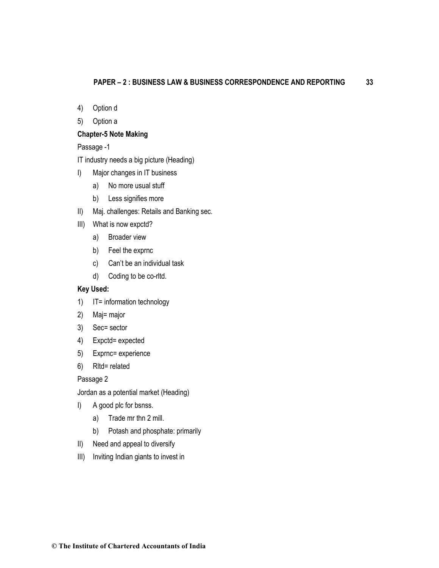- 4) Option d
- 5) Option a

# **Chapter-5 Note Making**

Passage -1

IT industry needs a big picture (Heading)

- I) Major changes in IT business
	- a) No more usual stuff
	- b) Less signifies more
- II) Maj. challenges: Retails and Banking sec.
- III) What is now expctd?
	- a) Broader view
	- b) Feel the exprnc
	- c) Can't be an individual task
	- d) Coding to be co-rltd.

# **Key Used:**

- 1) IT= information technology
- 2) Maj= major
- 3) Sec= sector
- 4) Expctd= expected
- 5) Exprnc= experience
- 6) Rltd= related

Passage 2

Jordan as a potential market (Heading)

- I) A good plc for bsnss.
	- a) Trade mr thn 2 mill.
	- b) Potash and phosphate: primarily
- II) Need and appeal to diversify
- III) Inviting Indian giants to invest in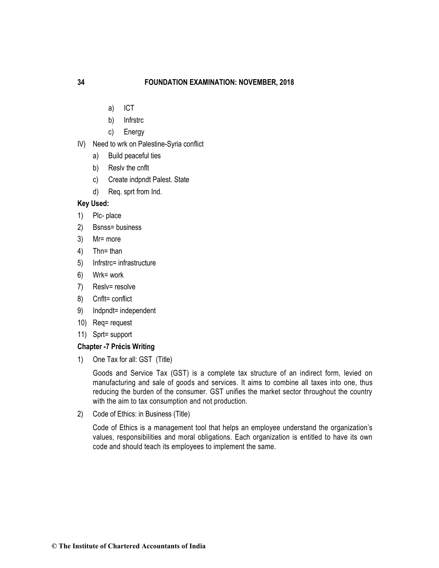- a) ICT
- b) Infrstrc
- c) Energy
- IV) Need to wrk on Palestine-Syria conflict
	- a) Build peaceful ties
	- b) Reslv the cnflt
	- c) Create indpndt Palest. State
	- d) Req. sprt from Ind.

## **Key Used:**

- 1) Plc- place
- 2) Bsnss= business
- 3) Mr= more
- 4) Thn= than
- 5) Infrstrc= infrastructure
- 6) Wrk= work
- 7) Reslv= resolve
- 8) Cnflt= conflict
- 9) Indpndt= independent
- 10) Req= request
- 11) Sprt= support

## **Chapter -7 Précis Writing**

1) One Tax for all: GST (Title)

Goods and Service Tax (GST) is a complete tax structure of an indirect form, levied on manufacturing and sale of goods and services. It aims to combine all taxes into one, thus reducing the burden of the consumer. GST unifies the market sector throughout the country with the aim to tax consumption and not production.

2) Code of Ethics: in Business (Title)

Code of Ethics is a management tool that helps an employee understand the organization's values, responsibilities and moral obligations. Each organization is entitled to have its own code and should teach its employees to implement the same.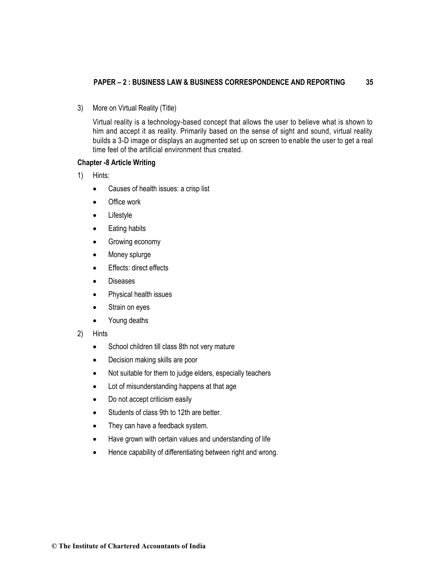## **PAPER – 2 : BUSINESS LAW & BUSINESS CORRESPONDENCE AND REPORTING 35**

3) More on Virtual Reality (Title)

Virtual reality is a technology-based concept that allows the user to believe what is shown to him and accept it as reality. Primarily based on the sense of sight and sound, virtual reality builds a 3-D image or displays an augmented set up on screen to enable the user to get a real time feel of the artificial environment thus created.

# **Chapter -8 Article Writing**

- 1) Hints:
	- Causes of health issues: a crisp list
	- Office work
	- Lifestyle
	- Eating habits
	- Growing economy
	- Money splurge
	- Effects: direct effects
	- Diseases
	- Physical health issues
	- Strain on eyes
	- Young deaths
- 2) Hints
	- School children till class 8th not very mature
	- Decision making skills are poor
	- Not suitable for them to judge elders, especially teachers
	- Lot of misunderstanding happens at that age
	- Do not accept criticism easily
	- Students of class 9th to 12th are better.
	- They can have a feedback system.
	- Have grown with certain values and understanding of life
	- Hence capability of differentiating between right and wrong.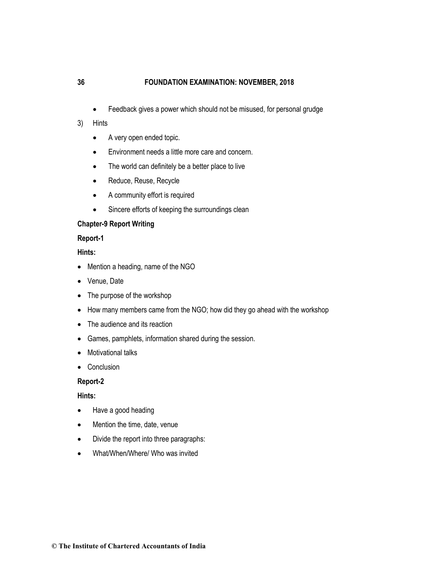• Feedback gives a power which should not be misused, for personal grudge

## 3) Hints

- A very open ended topic.
- Environment needs a little more care and concern.
- The world can definitely be a better place to live
- Reduce, Reuse, Recycle
- A community effort is required
- Sincere efforts of keeping the surroundings clean

## **Chapter-9 Report Writing**

# **Report-1**

# **Hints:**

- Mention a heading, name of the NGO
- Venue, Date
- The purpose of the workshop
- How many members came from the NGO; how did they go ahead with the workshop
- The audience and its reaction
- Games, pamphlets, information shared during the session.
- Motivational talks
- Conclusion

# **Report-2**

# **Hints:**

- Have a good heading
- Mention the time, date, venue
- Divide the report into three paragraphs:
- What/When/Where/ Who was invited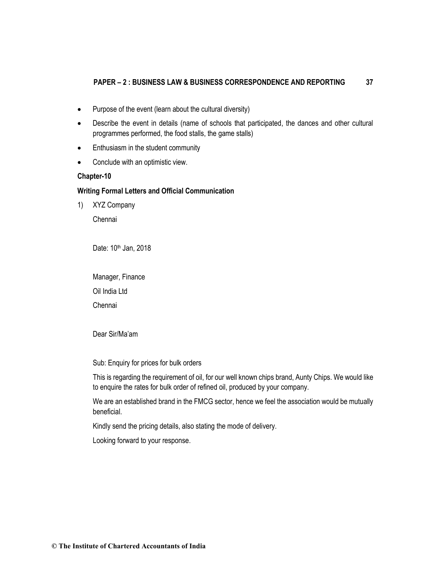## **PAPER – 2 : BUSINESS LAW & BUSINESS CORRESPONDENCE AND REPORTING 37**

- Purpose of the event (learn about the cultural diversity)
- Describe the event in details (name of schools that participated, the dances and other cultural programmes performed, the food stalls, the game stalls)
- Enthusiasm in the student community
- Conclude with an optimistic view.

## **Chapter-10**

# **Writing Formal Letters and Official Communication**

1) XYZ Company

Chennai

Date: 10<sup>th</sup> Jan, 2018

Manager, Finance Oil India Ltd

Chennai

Dear Sir/Ma'am

Sub: Enquiry for prices for bulk orders

This is regarding the requirement of oil, for our well known chips brand, Aunty Chips. We would like to enquire the rates for bulk order of refined oil, produced by your company.

We are an established brand in the FMCG sector, hence we feel the association would be mutually beneficial.

Kindly send the pricing details, also stating the mode of delivery.

Looking forward to your response.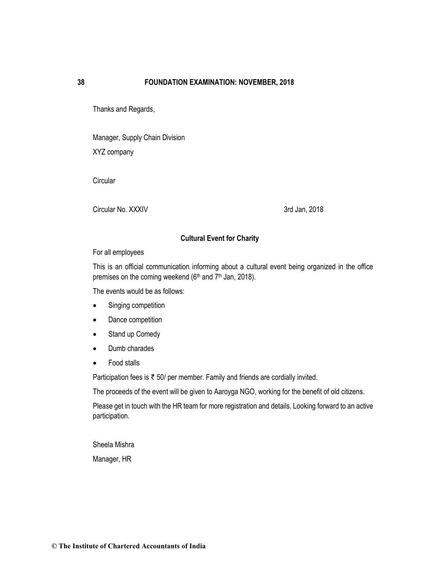Thanks and Regards,

Manager, Supply Chain Division XYZ company

**Circular** 

Circular No. XXXIV 3rd Jan, 2018

# **Cultural Event for Charity**

For all employees

This is an official communication informing about a cultural event being organized in the office premises on the coming weekend (6<sup>th</sup> and 7<sup>th</sup> Jan, 2018).

The events would be as follows:

- Singing competition
- Dance competition
- Stand up Comedy
- Dumb charades
- Food stalls

Participation fees is  $\bar{\tau}$  50/ per member. Family and friends are cordially invited.

The proceeds of the event will be given to Aaroyga NGO, working for the benefit of old citizens.

Please get in touch with the HR team for more registration and details. Looking forward to an active participation.

Sheela Mishra

Manager, HR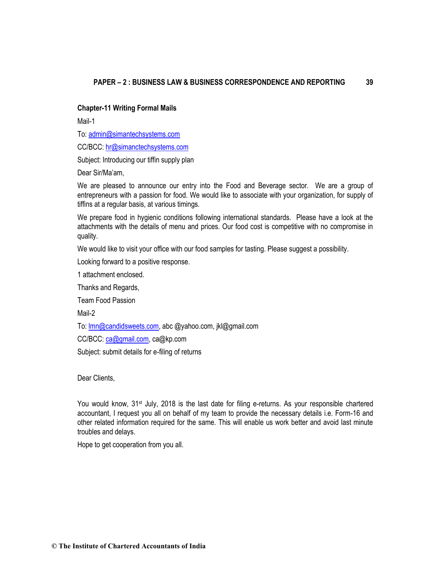# **Chapter-11 Writing Formal Mails**

Mail-1

To[: admin@simantechsystems.com](mailto:admin@simantechsystems.com)

CC/BCC: [hr@simanctechsystems.com](mailto:hr@simanctechsystems.com)

Subject: Introducing our tiffin supply plan

Dear Sir/Ma'am,

We are pleased to announce our entry into the Food and Beverage sector. We are a group of entrepreneurs with a passion for food. We would like to associate with your organization, for supply of tiffins at a regular basis, at various timings.

We prepare food in hygienic conditions following international standards. Please have a look at the attachments with the details of menu and prices. Our food cost is competitive with no compromise in quality.

We would like to visit your office with our food samples for tasting. Please suggest a possibility.

Looking forward to a positive response.

1 attachment enclosed.

Thanks and Regards,

Team Food Passion

Mail-2

To: **Imn@candidsweets.com**, abc @yahoo.com, jkl@gmail.com

CC/BCC: [ca@gmail.com,](mailto:ca@gmail.com) ca@kp.com

Subject: submit details for e-filing of returns

Dear Clients,

You would know, 31<sup>st</sup> July, 2018 is the last date for filing e-returns. As your responsible chartered accountant, I request you all on behalf of my team to provide the necessary details i.e. Form-16 and other related information required for the same. This will enable us work better and avoid last minute troubles and delays.

Hope to get cooperation from you all.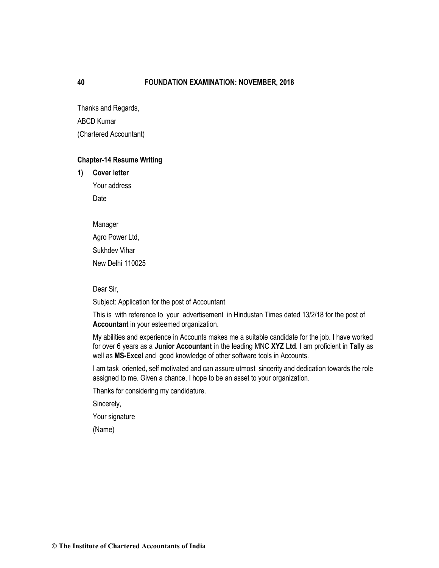Thanks and Regards, ABCD Kumar (Chartered Accountant)

## **Chapter-14 Resume Writing**

**1) Cover letter**

Your address Date

Manager Agro Power Ltd, Sukhdev Vihar New Delhi 110025

Dear Sir,

Subject: Application for the post of Accountant

This is with reference to your advertisement in Hindustan Times dated 13/2/18 for the post of **Accountant** in your esteemed organization.

My abilities and experience in Accounts makes me a suitable candidate for the job. I have worked for over 6 years as a **Junior Accountant** in the leading MNC **XYZ Ltd**. I am proficient in **Tally** as well as **MS-Excel** and good knowledge of other software tools in Accounts.

I am task oriented, self motivated and can assure utmost sincerity and dedication towards the role assigned to me. Given a chance, I hope to be an asset to your organization.

Thanks for considering my candidature.

Sincerely,

Your signature

(Name)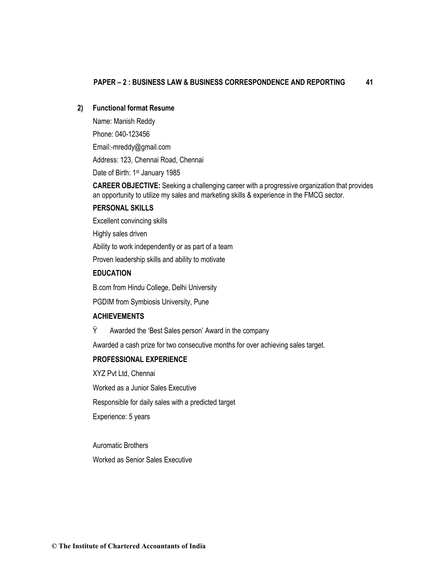# **2) Functional format Resume**

Name: Manish Reddy Phone: 040-123456 Email:-mreddy@gmail.com Address: 123, Chennai Road, Chennai Date of Birth: 1<sup>st</sup> January 1985

**CAREER OBJECTIVE:** Seeking a challenging career with a progressive organization that provides an opportunity to utilize my sales and marketing skills & experience in the FMCG sector.

#### **PERSONAL SKILLS**

Excellent convincing skills

Highly sales driven

Ability to work independently or as part of a team

Proven leadership skills and ability to motivate

## **EDUCATION**

B.com from Hindu College, Delhi University

PGDIM from Symbiosis University, Pune

# **ACHIEVEMENTS**

Ÿ Awarded the 'Best Sales person' Award in the company

Awarded a cash prize for two consecutive months for over achieving sales target.

# **PROFESSIONAL EXPERIENCE**

XYZ Pvt Ltd, Chennai

Worked as a Junior Sales Executive

Responsible for daily sales with a predicted target

Experience: 5 years

Auromatic Brothers Worked as Senior Sales Executive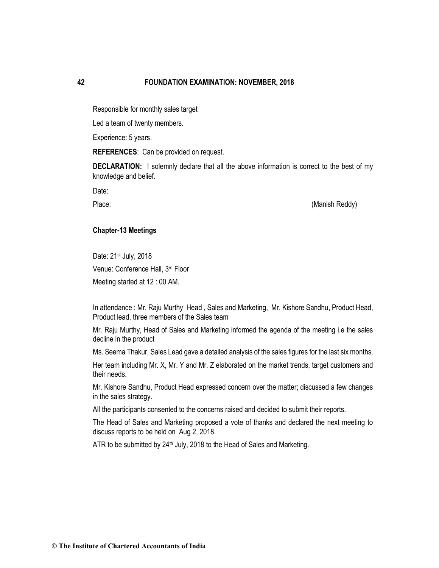Responsible for monthly sales target

Led a team of twenty members.

Experience: 5 years.

**REFERENCES**: Can be provided on request.

**DECLARATION:** I solemnly declare that all the above information is correct to the best of my knowledge and belief.

Date:

Place: (Manish Reddy)

#### **Chapter-13 Meetings**

Date: 21st July, 2018 Venue: Conference Hall, 3rd Floor Meeting started at 12 : 00 AM.

In attendance : Mr. Raju Murthy Head , Sales and Marketing, Mr. Kishore Sandhu, Product Head, Product lead, three members of the Sales team

Mr. Raju Murthy, Head of Sales and Marketing informed the agenda of the meeting i.e the sales decline in the product

Ms. Seema Thakur, Sales Lead gave a detailed analysis of the sales figures for the last six months.

Her team including Mr. X, Mr. Y and Mr. Z elaborated on the market trends, target customers and their needs.

Mr. Kishore Sandhu, Product Head expressed concern over the matter; discussed a few changes in the sales strategy.

All the participants consented to the concerns raised and decided to submit their reports.

The Head of Sales and Marketing proposed a vote of thanks and declared the next meeting to discuss reports to be held on Aug 2, 2018.

ATR to be submitted by  $24<sup>th</sup>$  July, 2018 to the Head of Sales and Marketing.